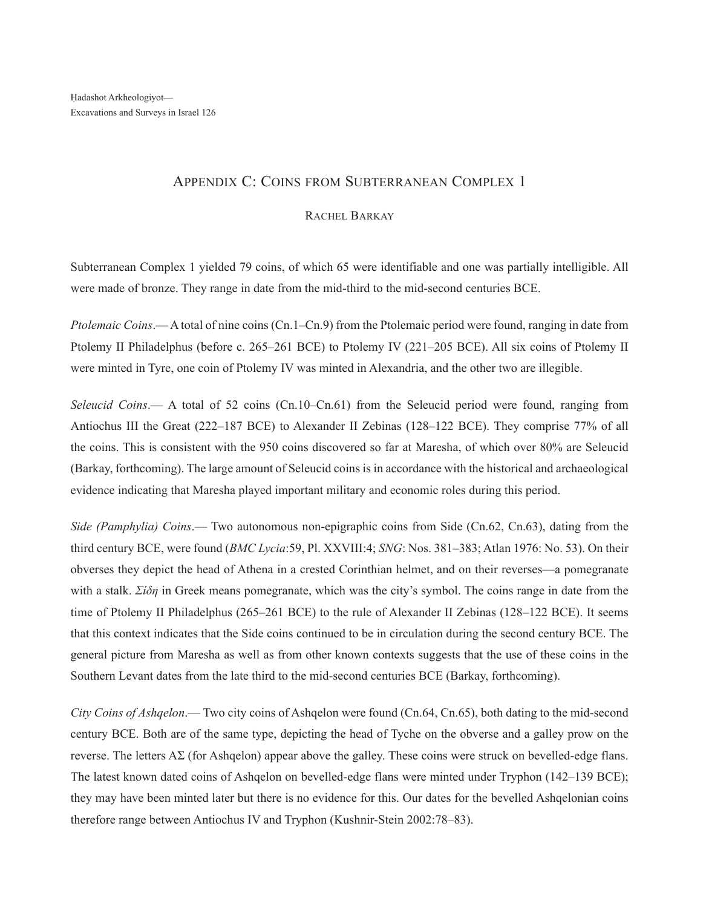## Appendix C: Coins from Subterranean Complex 1

## RACHEL BARKAY

Subterranean Complex 1 yielded 79 coins, of which 65 were identifiable and one was partially intelligible. All were made of bronze. They range in date from the mid-third to the mid-second centuries BCE.

*Ptolemaic Coins*.— A total of nine coins (Cn.1–Cn.9) from the Ptolemaic period were found, ranging in date from Ptolemy II Philadelphus (before c. 265–261 BCE) to Ptolemy IV (221–205 BCE). All six coins of Ptolemy II were minted in Tyre, one coin of Ptolemy IV was minted in Alexandria, and the other two are illegible.

*Seleucid Coins*.— A total of 52 coins (Cn.10–Cn.61) from the Seleucid period were found, ranging from Antiochus III the Great (222–187 BCE) to Alexander II Zebinas (128–122 BCE). They comprise 77% of all the coins. This is consistent with the 950 coins discovered so far at Maresha, of which over 80% are Seleucid (Barkay, forthcoming). The large amount of Seleucid coins is in accordance with the historical and archaeological evidence indicating that Maresha played important military and economic roles during this period.

*Side (Pamphylia) Coins*.— Two autonomous non-epigraphic coins from Side (Cn.62, Cn.63), dating from the third century BCE, were found (*BMC Lycia*:59, Pl. XXVIII:4; *SNG*: Nos. 381–383; Atlan 1976: No. 53). On their obverses they depict the head of Athena in a crested Corinthian helmet, and on their reverses—a pomegranate with a stalk. *Σίδη* in Greek means pomegranate, which was the city's symbol. The coins range in date from the time of Ptolemy II Philadelphus (265–261 BCE) to the rule of Alexander II Zebinas (128–122 BCE). It seems that this context indicates that the Side coins continued to be in circulation during the second century BCE. The general picture from Maresha as well as from other known contexts suggests that the use of these coins in the Southern Levant dates from the late third to the mid-second centuries BCE (Barkay, forthcoming).

*City Coins of Ashqelon*.— Two city coins of Ashqelon were found (Cn.64, Cn.65), both dating to the mid-second century BCE. Both are of the same type, depicting the head of Tyche on the obverse and a galley prow on the reverse. The letters  $\Delta\Sigma$  (for Ashqelon) appear above the galley. These coins were struck on bevelled-edge flans. The latest known dated coins of Ashqelon on bevelled-edge flans were minted under Tryphon (142–139 BCE); they may have been minted later but there is no evidence for this. Our dates for the bevelled Ashqelonian coins therefore range between Antiochus IV and Tryphon (Kushnir-Stein 2002:78–83).